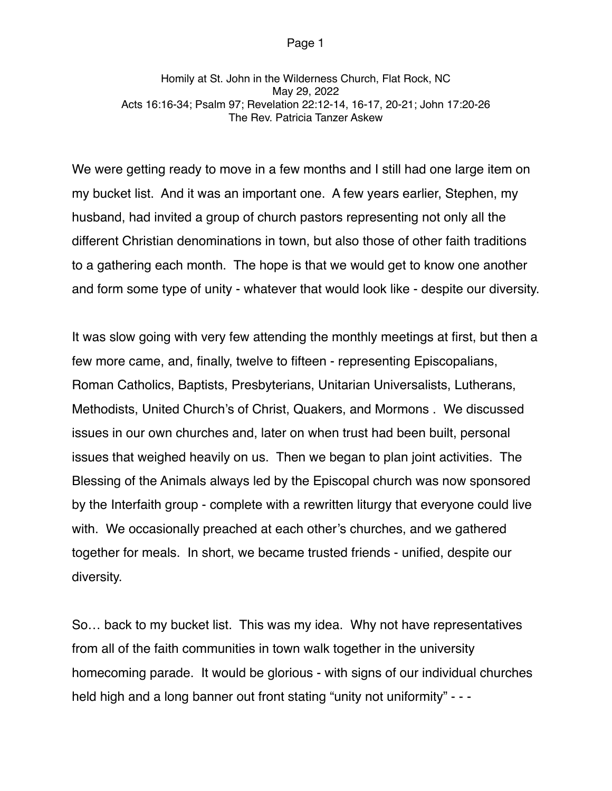Homily at St. John in the Wilderness Church, Flat Rock, NC May 29, 2022 Acts 16:16-34; Psalm 97; Revelation 22:12-14, 16-17, 20-21; John 17:20-26 The Rev. Patricia Tanzer Askew

We were getting ready to move in a few months and I still had one large item on my bucket list. And it was an important one. A few years earlier, Stephen, my husband, had invited a group of church pastors representing not only all the different Christian denominations in town, but also those of other faith traditions to a gathering each month. The hope is that we would get to know one another and form some type of unity - whatever that would look like - despite our diversity.

It was slow going with very few attending the monthly meetings at first, but then a few more came, and, finally, twelve to fifteen - representing Episcopalians, Roman Catholics, Baptists, Presbyterians, Unitarian Universalists, Lutherans, Methodists, United Church's of Christ, Quakers, and Mormons . We discussed issues in our own churches and, later on when trust had been built, personal issues that weighed heavily on us. Then we began to plan joint activities. The Blessing of the Animals always led by the Episcopal church was now sponsored by the Interfaith group - complete with a rewritten liturgy that everyone could live with. We occasionally preached at each other's churches, and we gathered together for meals. In short, we became trusted friends - unified, despite our diversity.

So… back to my bucket list. This was my idea. Why not have representatives from all of the faith communities in town walk together in the university homecoming parade. It would be glorious - with signs of our individual churches held high and a long banner out front stating "unity not uniformity" - - -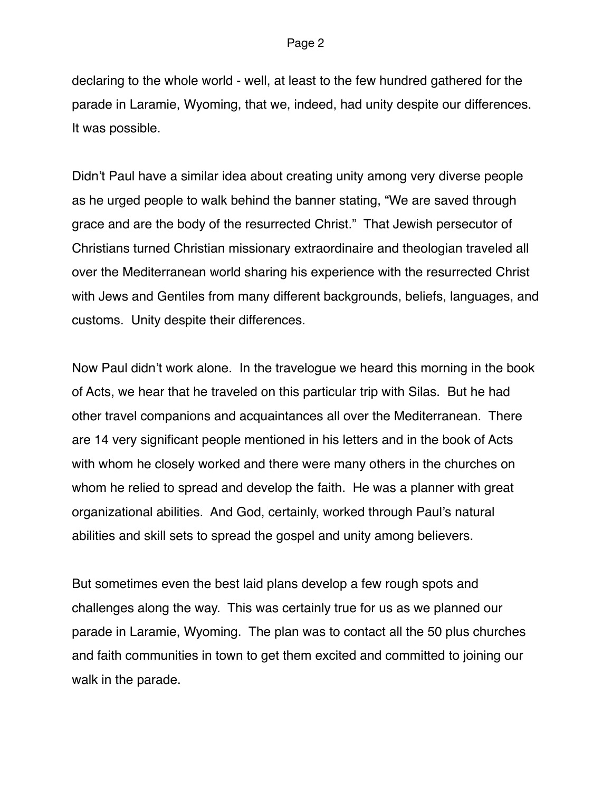declaring to the whole world - well, at least to the few hundred gathered for the parade in Laramie, Wyoming, that we, indeed, had unity despite our differences. It was possible.

Didn't Paul have a similar idea about creating unity among very diverse people as he urged people to walk behind the banner stating, "We are saved through grace and are the body of the resurrected Christ." That Jewish persecutor of Christians turned Christian missionary extraordinaire and theologian traveled all over the Mediterranean world sharing his experience with the resurrected Christ with Jews and Gentiles from many different backgrounds, beliefs, languages, and customs. Unity despite their differences.

Now Paul didn't work alone. In the travelogue we heard this morning in the book of Acts, we hear that he traveled on this particular trip with Silas. But he had other travel companions and acquaintances all over the Mediterranean. There are 14 very significant people mentioned in his letters and in the book of Acts with whom he closely worked and there were many others in the churches on whom he relied to spread and develop the faith. He was a planner with great organizational abilities. And God, certainly, worked through Paul's natural abilities and skill sets to spread the gospel and unity among believers.

But sometimes even the best laid plans develop a few rough spots and challenges along the way. This was certainly true for us as we planned our parade in Laramie, Wyoming. The plan was to contact all the 50 plus churches and faith communities in town to get them excited and committed to joining our walk in the parade.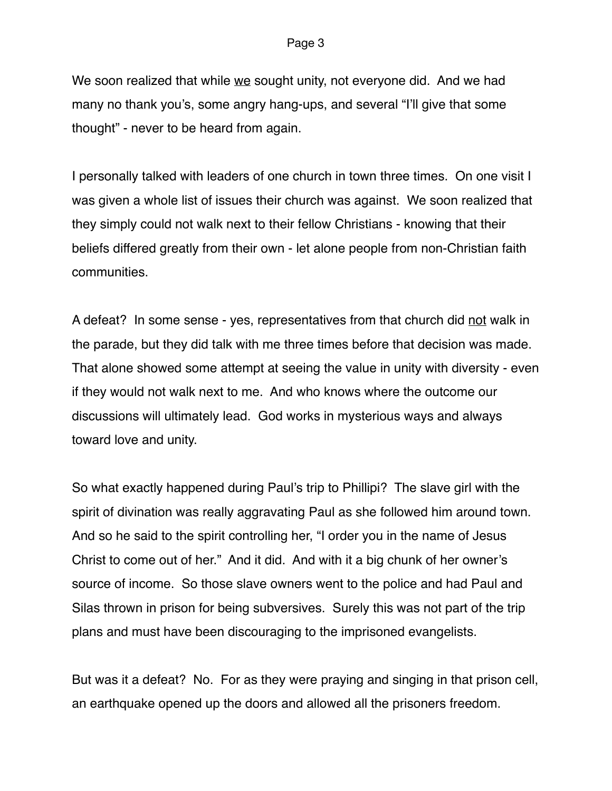We soon realized that while we sought unity, not everyone did. And we had many no thank you's, some angry hang-ups, and several "I'll give that some thought" - never to be heard from again.

I personally talked with leaders of one church in town three times. On one visit I was given a whole list of issues their church was against. We soon realized that they simply could not walk next to their fellow Christians - knowing that their beliefs differed greatly from their own - let alone people from non-Christian faith communities.

A defeat? In some sense - yes, representatives from that church did not walk in the parade, but they did talk with me three times before that decision was made. That alone showed some attempt at seeing the value in unity with diversity - even if they would not walk next to me. And who knows where the outcome our discussions will ultimately lead. God works in mysterious ways and always toward love and unity.

So what exactly happened during Paul's trip to Phillipi? The slave girl with the spirit of divination was really aggravating Paul as she followed him around town. And so he said to the spirit controlling her, "I order you in the name of Jesus Christ to come out of her." And it did. And with it a big chunk of her owner's source of income. So those slave owners went to the police and had Paul and Silas thrown in prison for being subversives. Surely this was not part of the trip plans and must have been discouraging to the imprisoned evangelists.

But was it a defeat? No. For as they were praying and singing in that prison cell, an earthquake opened up the doors and allowed all the prisoners freedom.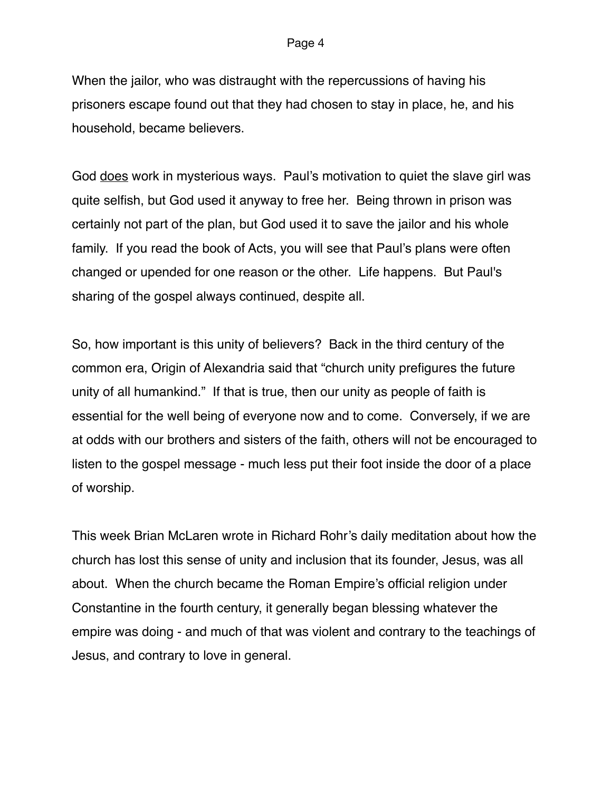When the jailor, who was distraught with the repercussions of having his prisoners escape found out that they had chosen to stay in place, he, and his household, became believers.

God does work in mysterious ways. Paul's motivation to quiet the slave girl was quite selfish, but God used it anyway to free her. Being thrown in prison was certainly not part of the plan, but God used it to save the jailor and his whole family. If you read the book of Acts, you will see that Paul's plans were often changed or upended for one reason or the other. Life happens. But Paul's sharing of the gospel always continued, despite all.

So, how important is this unity of believers? Back in the third century of the common era, Origin of Alexandria said that "church unity prefigures the future unity of all humankind." If that is true, then our unity as people of faith is essential for the well being of everyone now and to come. Conversely, if we are at odds with our brothers and sisters of the faith, others will not be encouraged to listen to the gospel message - much less put their foot inside the door of a place of worship.

This week Brian McLaren wrote in Richard Rohr's daily meditation about how the church has lost this sense of unity and inclusion that its founder, Jesus, was all about. When the church became the Roman Empire's official religion under Constantine in the fourth century, it generally began blessing whatever the empire was doing - and much of that was violent and contrary to the teachings of Jesus, and contrary to love in general.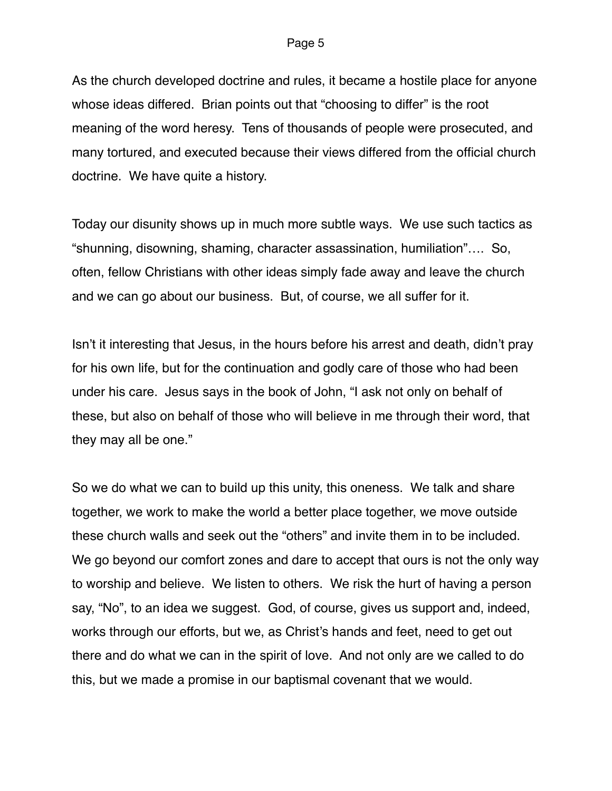As the church developed doctrine and rules, it became a hostile place for anyone whose ideas differed. Brian points out that "choosing to differ" is the root meaning of the word heresy. Tens of thousands of people were prosecuted, and many tortured, and executed because their views differed from the official church doctrine. We have quite a history.

Today our disunity shows up in much more subtle ways. We use such tactics as "shunning, disowning, shaming, character assassination, humiliation"…. So, often, fellow Christians with other ideas simply fade away and leave the church and we can go about our business. But, of course, we all suffer for it.

Isn't it interesting that Jesus, in the hours before his arrest and death, didn't pray for his own life, but for the continuation and godly care of those who had been under his care. Jesus says in the book of John, "I ask not only on behalf of these, but also on behalf of those who will believe in me through their word, that they may all be one."

So we do what we can to build up this unity, this oneness. We talk and share together, we work to make the world a better place together, we move outside these church walls and seek out the "others" and invite them in to be included. We go beyond our comfort zones and dare to accept that ours is not the only way to worship and believe. We listen to others. We risk the hurt of having a person say, "No", to an idea we suggest. God, of course, gives us support and, indeed, works through our efforts, but we, as Christ's hands and feet, need to get out there and do what we can in the spirit of love. And not only are we called to do this, but we made a promise in our baptismal covenant that we would.